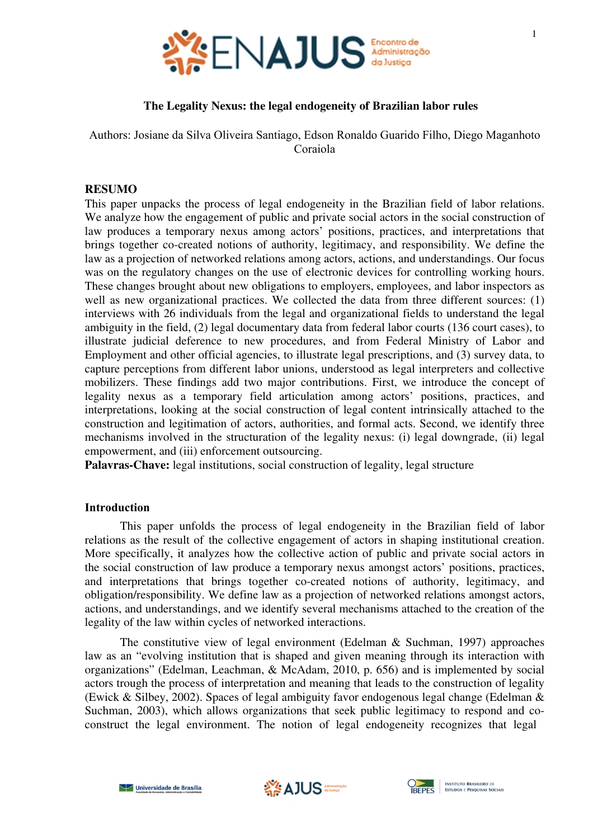

# **The Legality Nexus: the legal endogeneity of Brazilian labor rules**

Authors: Josiane da Silva Oliveira Santiago, Edson Ronaldo Guarido Filho, Diego Maganhoto Coraiola

### **RESUMO**

This paper unpacks the process of legal endogeneity in the Brazilian field of labor relations. We analyze how the engagement of public and private social actors in the social construction of law produces a temporary nexus among actors' positions, practices, and interpretations that brings together co-created notions of authority, legitimacy, and responsibility. We define the law as a projection of networked relations among actors, actions, and understandings. Our focus was on the regulatory changes on the use of electronic devices for controlling working hours. These changes brought about new obligations to employers, employees, and labor inspectors as well as new organizational practices. We collected the data from three different sources: (1) interviews with 26 individuals from the legal and organizational fields to understand the legal ambiguity in the field, (2) legal documentary data from federal labor courts (136 court cases), to illustrate judicial deference to new procedures, and from Federal Ministry of Labor and Employment and other official agencies, to illustrate legal prescriptions, and (3) survey data, to capture perceptions from different labor unions, understood as legal interpreters and collective mobilizers. These findings add two major contributions. First, we introduce the concept of legality nexus as a temporary field articulation among actors' positions, practices, and interpretations, looking at the social construction of legal content intrinsically attached to the construction and legitimation of actors, authorities, and formal acts. Second, we identify three mechanisms involved in the structuration of the legality nexus: (i) legal downgrade, (ii) legal empowerment, and (iii) enforcement outsourcing.

**Palavras-Chave:** legal institutions, social construction of legality, legal structure

#### **Introduction**

This paper unfolds the process of legal endogeneity in the Brazilian field of labor relations as the result of the collective engagement of actors in shaping institutional creation. More specifically, it analyzes how the collective action of public and private social actors in the social construction of law produce a temporary nexus amongst actors' positions, practices, and interpretations that brings together co-created notions of authority, legitimacy, and obligation/responsibility. We define law as a projection of networked relations amongst actors, actions, and understandings, and we identify several mechanisms attached to the creation of the legality of the law within cycles of networked interactions.

The constitutive view of legal environment (Edelman & Suchman, 1997) approaches law as an "evolving institution that is shaped and given meaning through its interaction with organizations" (Edelman, Leachman, & McAdam, 2010, p. 656) and is implemented by social actors trough the process of interpretation and meaning that leads to the construction of legality (Ewick & Silbey, 2002). Spaces of legal ambiguity favor endogenous legal change (Edelman & Suchman, 2003), which allows organizations that seek public legitimacy to respond and coconstruct the legal environment. The notion of legal endogeneity recognizes that legal





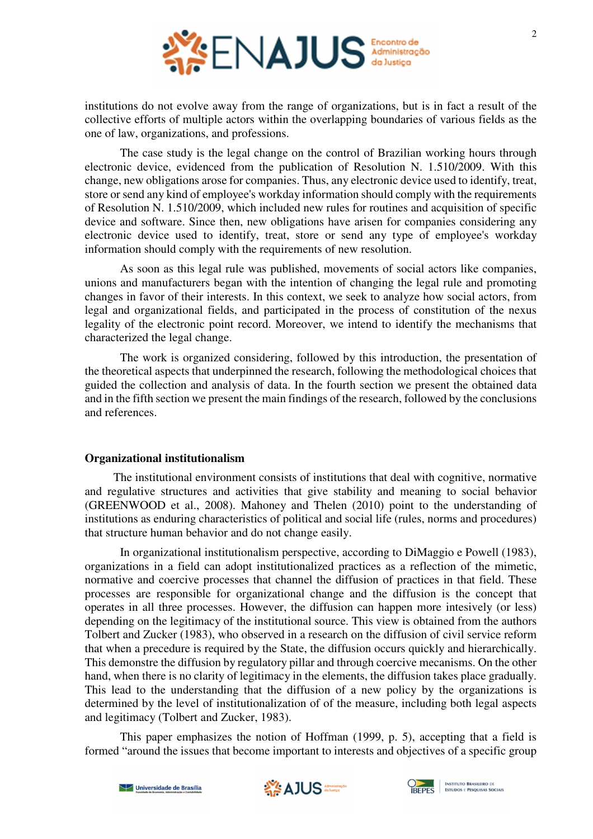

institutions do not evolve away from the range of organizations, but is in fact a result of the collective efforts of multiple actors within the overlapping boundaries of various fields as the one of law, organizations, and professions.

The case study is the legal change on the control of Brazilian working hours through electronic device, evidenced from the publication of Resolution N. 1.510/2009. With this change, new obligations arose for companies. Thus, any electronic device used to identify, treat, store or send any kind of employee's workday information should comply with the requirements of Resolution N. 1.510/2009, which included new rules for routines and acquisition of specific device and software. Since then, new obligations have arisen for companies considering any electronic device used to identify, treat, store or send any type of employee's workday information should comply with the requirements of new resolution.

As soon as this legal rule was published, movements of social actors like companies, unions and manufacturers began with the intention of changing the legal rule and promoting changes in favor of their interests. In this context, we seek to analyze how social actors, from legal and organizational fields, and participated in the process of constitution of the nexus legality of the electronic point record. Moreover, we intend to identify the mechanisms that characterized the legal change.

The work is organized considering, followed by this introduction, the presentation of the theoretical aspects that underpinned the research, following the methodological choices that guided the collection and analysis of data. In the fourth section we present the obtained data and in the fifth section we present the main findings of the research, followed by the conclusions and references.

## **Organizational institutionalism**

The institutional environment consists of institutions that deal with cognitive, normative and regulative structures and activities that give stability and meaning to social behavior (GREENWOOD et al., 2008). Mahoney and Thelen (2010) point to the understanding of institutions as enduring characteristics of political and social life (rules, norms and procedures) that structure human behavior and do not change easily.

In organizational institutionalism perspective, according to DiMaggio e Powell (1983), organizations in a field can adopt institutionalized practices as a reflection of the mimetic, normative and coercive processes that channel the diffusion of practices in that field. These processes are responsible for organizational change and the diffusion is the concept that operates in all three processes. However, the diffusion can happen more intesively (or less) depending on the legitimacy of the institutional source. This view is obtained from the authors Tolbert and Zucker (1983), who observed in a research on the diffusion of civil service reform that when a precedure is required by the State, the diffusion occurs quickly and hierarchically. This demonstre the diffusion by regulatory pillar and through coercive mecanisms. On the other hand, when there is no clarity of legitimacy in the elements, the diffusion takes place gradually. This lead to the understanding that the diffusion of a new policy by the organizations is determined by the level of institutionalization of of the measure, including both legal aspects and legitimacy (Tolbert and Zucker, 1983).

This paper emphasizes the notion of Hoffman (1999, p. 5), accepting that a field is formed "around the issues that become important to interests and objectives of a specific group



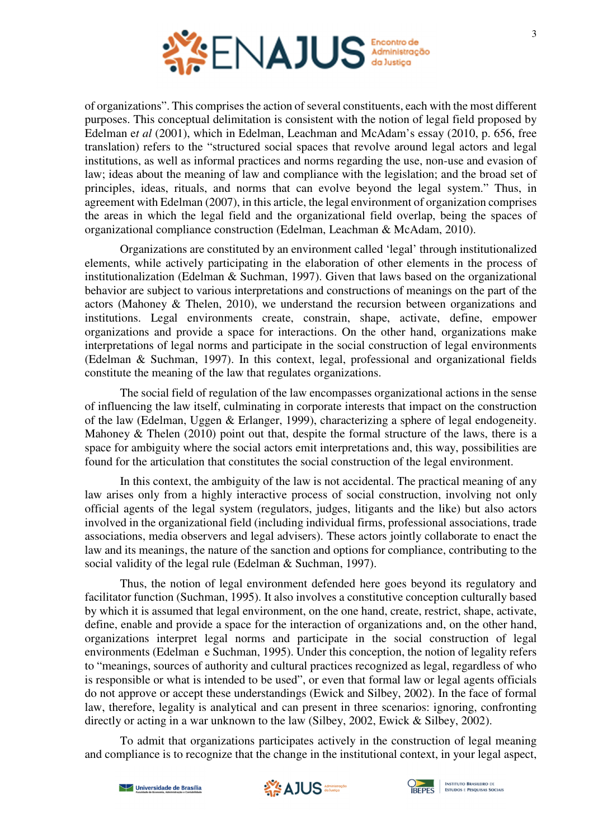

of organizations". This comprises the action of several constituents, each with the most different purposes. This conceptual delimitation is consistent with the notion of legal field proposed by Edelman e*t al* (2001), which in Edelman, Leachman and McAdam's essay (2010, p. 656, free translation) refers to the "structured social spaces that revolve around legal actors and legal institutions, as well as informal practices and norms regarding the use, non-use and evasion of law; ideas about the meaning of law and compliance with the legislation; and the broad set of principles, ideas, rituals, and norms that can evolve beyond the legal system." Thus, in agreement with Edelman (2007), in this article, the legal environment of organization comprises the areas in which the legal field and the organizational field overlap, being the spaces of organizational compliance construction (Edelman, Leachman & McAdam, 2010).

Organizations are constituted by an environment called 'legal' through institutionalized elements, while actively participating in the elaboration of other elements in the process of institutionalization (Edelman & Suchman, 1997). Given that laws based on the organizational behavior are subject to various interpretations and constructions of meanings on the part of the actors (Mahoney & Thelen, 2010), we understand the recursion between organizations and institutions. Legal environments create, constrain, shape, activate, define, empower organizations and provide a space for interactions. On the other hand, organizations make interpretations of legal norms and participate in the social construction of legal environments (Edelman & Suchman, 1997). In this context, legal, professional and organizational fields constitute the meaning of the law that regulates organizations.

The social field of regulation of the law encompasses organizational actions in the sense of influencing the law itself, culminating in corporate interests that impact on the construction of the law (Edelman, Uggen & Erlanger, 1999), characterizing a sphere of legal endogeneity. Mahoney & Thelen (2010) point out that, despite the formal structure of the laws, there is a space for ambiguity where the social actors emit interpretations and, this way, possibilities are found for the articulation that constitutes the social construction of the legal environment.

In this context, the ambiguity of the law is not accidental. The practical meaning of any law arises only from a highly interactive process of social construction, involving not only official agents of the legal system (regulators, judges, litigants and the like) but also actors involved in the organizational field (including individual firms, professional associations, trade associations, media observers and legal advisers). These actors jointly collaborate to enact the law and its meanings, the nature of the sanction and options for compliance, contributing to the social validity of the legal rule (Edelman & Suchman, 1997).

Thus, the notion of legal environment defended here goes beyond its regulatory and facilitator function (Suchman, 1995). It also involves a constitutive conception culturally based by which it is assumed that legal environment, on the one hand, create, restrict, shape, activate, define, enable and provide a space for the interaction of organizations and, on the other hand, organizations interpret legal norms and participate in the social construction of legal environments (Edelman e Suchman, 1995). Under this conception, the notion of legality refers to "meanings, sources of authority and cultural practices recognized as legal, regardless of who is responsible or what is intended to be used", or even that formal law or legal agents officials do not approve or accept these understandings (Ewick and Silbey, 2002). In the face of formal law, therefore, legality is analytical and can present in three scenarios: ignoring, confronting directly or acting in a war unknown to the law (Silbey, 2002, Ewick & Silbey, 2002).

To admit that organizations participates actively in the construction of legal meaning and compliance is to recognize that the change in the institutional context, in your legal aspect,



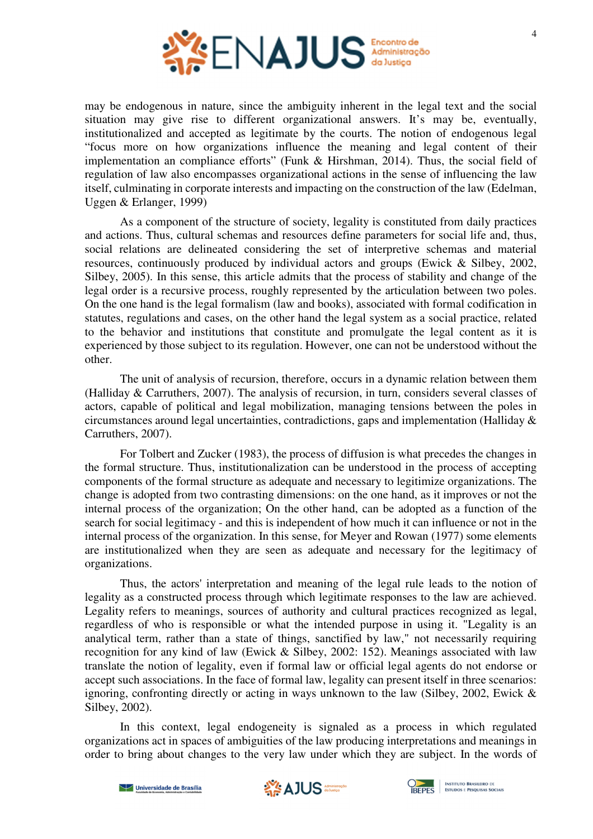

may be endogenous in nature, since the ambiguity inherent in the legal text and the social situation may give rise to different organizational answers. It's may be, eventually, institutionalized and accepted as legitimate by the courts. The notion of endogenous legal "focus more on how organizations influence the meaning and legal content of their implementation an compliance efforts" (Funk & Hirshman, 2014). Thus, the social field of regulation of law also encompasses organizational actions in the sense of influencing the law itself, culminating in corporate interests and impacting on the construction of the law (Edelman, Uggen & Erlanger, 1999)

As a component of the structure of society, legality is constituted from daily practices and actions. Thus, cultural schemas and resources define parameters for social life and, thus, social relations are delineated considering the set of interpretive schemas and material resources, continuously produced by individual actors and groups (Ewick & Silbey, 2002, Silbey, 2005). In this sense, this article admits that the process of stability and change of the legal order is a recursive process, roughly represented by the articulation between two poles. On the one hand is the legal formalism (law and books), associated with formal codification in statutes, regulations and cases, on the other hand the legal system as a social practice, related to the behavior and institutions that constitute and promulgate the legal content as it is experienced by those subject to its regulation. However, one can not be understood without the other.

The unit of analysis of recursion, therefore, occurs in a dynamic relation between them (Halliday & Carruthers, 2007). The analysis of recursion, in turn, considers several classes of actors, capable of political and legal mobilization, managing tensions between the poles in circumstances around legal uncertainties, contradictions, gaps and implementation (Halliday & Carruthers, 2007).

For Tolbert and Zucker (1983), the process of diffusion is what precedes the changes in the formal structure. Thus, institutionalization can be understood in the process of accepting components of the formal structure as adequate and necessary to legitimize organizations. The change is adopted from two contrasting dimensions: on the one hand, as it improves or not the internal process of the organization; On the other hand, can be adopted as a function of the search for social legitimacy - and this is independent of how much it can influence or not in the internal process of the organization. In this sense, for Meyer and Rowan (1977) some elements are institutionalized when they are seen as adequate and necessary for the legitimacy of organizations.

Thus, the actors' interpretation and meaning of the legal rule leads to the notion of legality as a constructed process through which legitimate responses to the law are achieved. Legality refers to meanings, sources of authority and cultural practices recognized as legal, regardless of who is responsible or what the intended purpose in using it. "Legality is an analytical term, rather than a state of things, sanctified by law," not necessarily requiring recognition for any kind of law (Ewick & Silbey, 2002: 152). Meanings associated with law translate the notion of legality, even if formal law or official legal agents do not endorse or accept such associations. In the face of formal law, legality can present itself in three scenarios: ignoring, confronting directly or acting in ways unknown to the law (Silbey, 2002, Ewick  $\&$ Silbey, 2002).

In this context, legal endogeneity is signaled as a process in which regulated organizations act in spaces of ambiguities of the law producing interpretations and meanings in order to bring about changes to the very law under which they are subject. In the words of



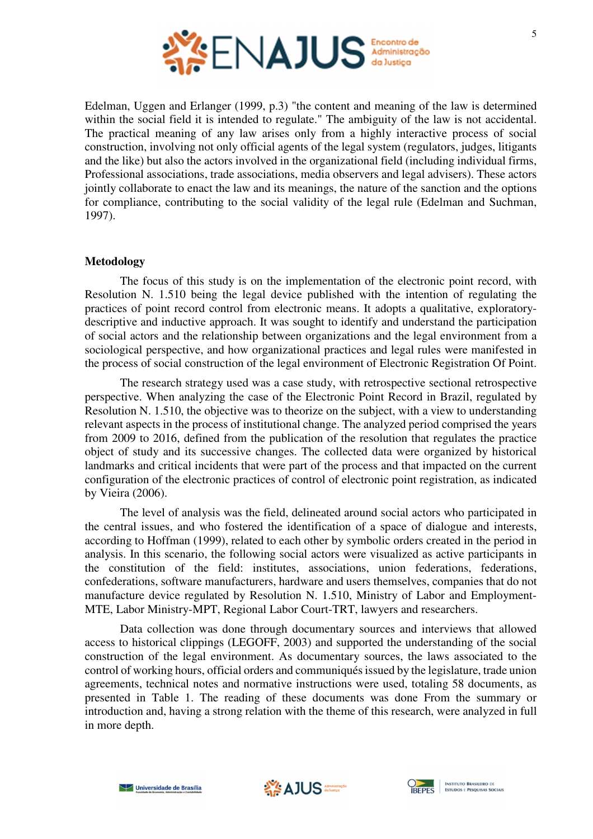

Edelman, Uggen and Erlanger (1999, p.3) "the content and meaning of the law is determined within the social field it is intended to regulate." The ambiguity of the law is not accidental. The practical meaning of any law arises only from a highly interactive process of social construction, involving not only official agents of the legal system (regulators, judges, litigants and the like) but also the actors involved in the organizational field (including individual firms, Professional associations, trade associations, media observers and legal advisers). These actors jointly collaborate to enact the law and its meanings, the nature of the sanction and the options for compliance, contributing to the social validity of the legal rule (Edelman and Suchman, 1997).

## **Metodology**

The focus of this study is on the implementation of the electronic point record, with Resolution N. 1.510 being the legal device published with the intention of regulating the practices of point record control from electronic means. It adopts a qualitative, exploratorydescriptive and inductive approach. It was sought to identify and understand the participation of social actors and the relationship between organizations and the legal environment from a sociological perspective, and how organizational practices and legal rules were manifested in the process of social construction of the legal environment of Electronic Registration Of Point.

The research strategy used was a case study, with retrospective sectional retrospective perspective. When analyzing the case of the Electronic Point Record in Brazil, regulated by Resolution N. 1.510, the objective was to theorize on the subject, with a view to understanding relevant aspects in the process of institutional change. The analyzed period comprised the years from 2009 to 2016, defined from the publication of the resolution that regulates the practice object of study and its successive changes. The collected data were organized by historical landmarks and critical incidents that were part of the process and that impacted on the current configuration of the electronic practices of control of electronic point registration, as indicated by Vieira (2006).

The level of analysis was the field, delineated around social actors who participated in the central issues, and who fostered the identification of a space of dialogue and interests, according to Hoffman (1999), related to each other by symbolic orders created in the period in analysis. In this scenario, the following social actors were visualized as active participants in the constitution of the field: institutes, associations, union federations, federations, confederations, software manufacturers, hardware and users themselves, companies that do not manufacture device regulated by Resolution N. 1.510, Ministry of Labor and Employment-MTE, Labor Ministry-MPT, Regional Labor Court-TRT, lawyers and researchers.

Data collection was done through documentary sources and interviews that allowed access to historical clippings (LEGOFF, 2003) and supported the understanding of the social construction of the legal environment. As documentary sources, the laws associated to the control of working hours, official orders and communiqués issued by the legislature, trade union agreements, technical notes and normative instructions were used, totaling 58 documents, as presented in Table 1. The reading of these documents was done From the summary or introduction and, having a strong relation with the theme of this research, were analyzed in full in more depth.



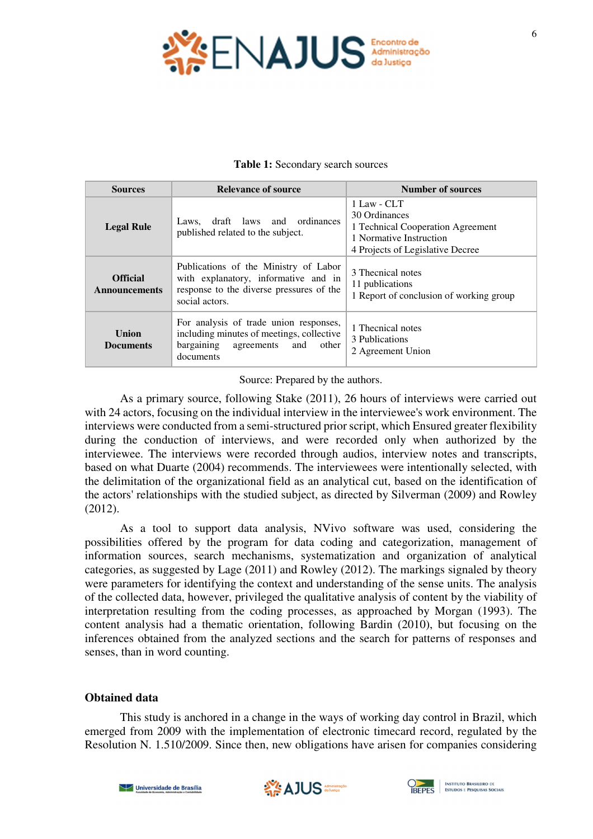

| Table 1: Secondary search sources |  |
|-----------------------------------|--|
|-----------------------------------|--|

| <b>Sources</b>                          | <b>Relevance of source</b>                                                                                                                  | <b>Number of sources</b>                                                                                                         |  |  |  |
|-----------------------------------------|---------------------------------------------------------------------------------------------------------------------------------------------|----------------------------------------------------------------------------------------------------------------------------------|--|--|--|
| <b>Legal Rule</b>                       | Laws, draft laws and ordinances<br>published related to the subject.                                                                        | 1 Law - CLT<br>30 Ordinances<br>1 Technical Cooperation Agreement<br>1 Normative Instruction<br>4 Projects of Legislative Decree |  |  |  |
| <b>Official</b><br><b>Announcements</b> | Publications of the Ministry of Labor<br>with explanatory, informative and in<br>response to the diverse pressures of the<br>social actors. | 3 Thecnical notes<br>11 publications<br>1 Report of conclusion of working group                                                  |  |  |  |
| <b>Union</b><br><b>Documents</b>        | For analysis of trade union responses,<br>including minutes of meetings, collective<br>bargaining<br>agreements and<br>other<br>documents   | 1 Thecnical notes<br>3 Publications<br>2 Agreement Union                                                                         |  |  |  |

Source: Prepared by the authors.

As a primary source, following Stake (2011), 26 hours of interviews were carried out with 24 actors, focusing on the individual interview in the interviewee's work environment. The interviews were conducted from a semi-structured prior script, which Ensured greater flexibility during the conduction of interviews, and were recorded only when authorized by the interviewee. The interviews were recorded through audios, interview notes and transcripts, based on what Duarte (2004) recommends. The interviewees were intentionally selected, with the delimitation of the organizational field as an analytical cut, based on the identification of the actors' relationships with the studied subject, as directed by Silverman (2009) and Rowley (2012).

As a tool to support data analysis, NVivo software was used, considering the possibilities offered by the program for data coding and categorization, management of information sources, search mechanisms, systematization and organization of analytical categories, as suggested by Lage (2011) and Rowley (2012). The markings signaled by theory were parameters for identifying the context and understanding of the sense units. The analysis of the collected data, however, privileged the qualitative analysis of content by the viability of interpretation resulting from the coding processes, as approached by Morgan (1993). The content analysis had a thematic orientation, following Bardin (2010), but focusing on the inferences obtained from the analyzed sections and the search for patterns of responses and senses, than in word counting.

## **Obtained data**

This study is anchored in a change in the ways of working day control in Brazil, which emerged from 2009 with the implementation of electronic timecard record, regulated by the Resolution N. 1.510/2009. Since then, new obligations have arisen for companies considering



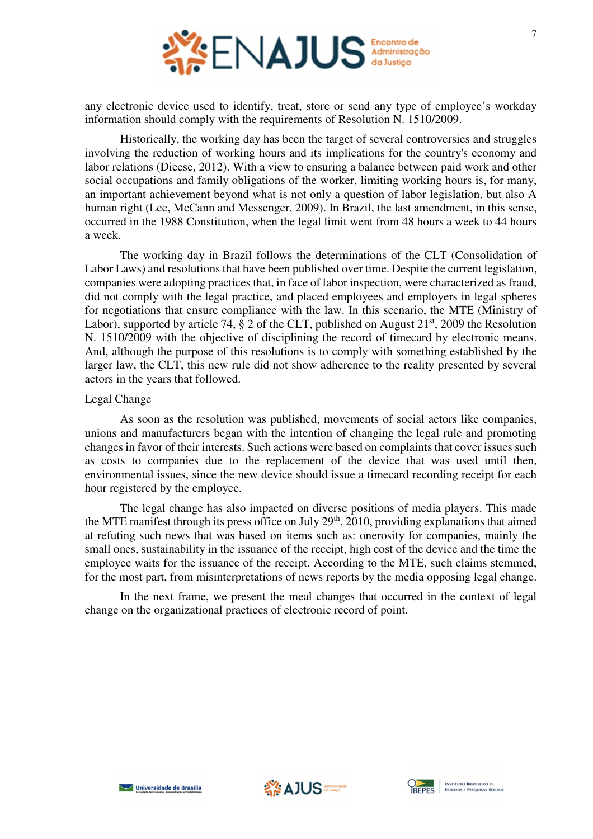

any electronic device used to identify, treat, store or send any type of employee's workday information should comply with the requirements of Resolution N. 1510/2009.

Historically, the working day has been the target of several controversies and struggles involving the reduction of working hours and its implications for the country's economy and labor relations (Dieese, 2012). With a view to ensuring a balance between paid work and other social occupations and family obligations of the worker, limiting working hours is, for many, an important achievement beyond what is not only a question of labor legislation, but also A human right (Lee, McCann and Messenger, 2009). In Brazil, the last amendment, in this sense, occurred in the 1988 Constitution, when the legal limit went from 48 hours a week to 44 hours a week.

The working day in Brazil follows the determinations of the CLT (Consolidation of Labor Laws) and resolutions that have been published over time. Despite the current legislation, companies were adopting practices that, in face of labor inspection, were characterized as fraud, did not comply with the legal practice, and placed employees and employers in legal spheres for negotiations that ensure compliance with the law. In this scenario, the MTE (Ministry of Labor), supported by article 74,  $\S$  2 of the CLT, published on August  $21<sup>st</sup>$ , 2009 the Resolution N. 1510/2009 with the objective of disciplining the record of timecard by electronic means. And, although the purpose of this resolutions is to comply with something established by the larger law, the CLT, this new rule did not show adherence to the reality presented by several actors in the years that followed.

### Legal Change

As soon as the resolution was published, movements of social actors like companies, unions and manufacturers began with the intention of changing the legal rule and promoting changes in favor of their interests. Such actions were based on complaints that cover issues such as costs to companies due to the replacement of the device that was used until then, environmental issues, since the new device should issue a timecard recording receipt for each hour registered by the employee.

The legal change has also impacted on diverse positions of media players. This made the MTE manifest through its press office on July 29<sup>th</sup>, 2010, providing explanations that aimed at refuting such news that was based on items such as: onerosity for companies, mainly the small ones, sustainability in the issuance of the receipt, high cost of the device and the time the employee waits for the issuance of the receipt. According to the MTE, such claims stemmed, for the most part, from misinterpretations of news reports by the media opposing legal change.

In the next frame, we present the meal changes that occurred in the context of legal change on the organizational practices of electronic record of point.



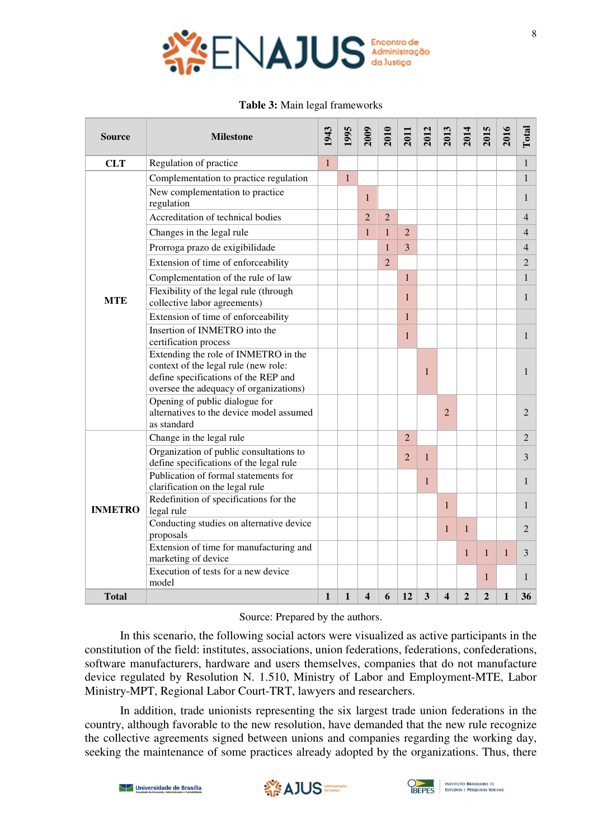

#### **Table 3:** Main legal frameworks

| <b>Source</b>  | <b>Milestone</b>                                                                                                                                               | 1943         | 1995         | <b>2009</b>    | 2010           | 2011           | 2012         | 2013           | 2014           | 2015           | 2016         | Total          |
|----------------|----------------------------------------------------------------------------------------------------------------------------------------------------------------|--------------|--------------|----------------|----------------|----------------|--------------|----------------|----------------|----------------|--------------|----------------|
| <b>CLT</b>     | Regulation of practice                                                                                                                                         |              |              |                |                |                |              |                |                |                |              | 1              |
|                | Complementation to practice regulation<br>New complementation to practice<br>regulation                                                                        |              | $\mathbf{1}$ | $\mathbf{1}$   |                |                |              |                |                |                |              | 1<br>1         |
|                | Accreditation of technical bodies                                                                                                                              |              |              | $\overline{2}$ | $\overline{2}$ |                |              |                |                |                |              | 4              |
|                | Changes in the legal rule                                                                                                                                      |              |              | $\mathbf{1}$   | $\mathbf{1}$   | $\overline{2}$ |              |                |                |                |              | 4              |
|                | Prorroga prazo de exigibilidade                                                                                                                                |              |              |                | $\mathbf{1}$   | 3              |              |                |                |                |              | 4              |
|                | Extension of time of enforceability                                                                                                                            |              |              |                | $\overline{2}$ |                |              |                |                |                |              | $\overline{2}$ |
|                | Complementation of the rule of law                                                                                                                             |              |              |                |                | $\mathbf{1}$   |              |                |                |                |              | 1              |
| <b>MTE</b>     | Flexibility of the legal rule (through<br>collective labor agreements)                                                                                         |              |              |                |                | $\mathbf{1}$   |              |                |                |                |              | 1              |
|                | Extension of time of enforceability                                                                                                                            |              |              |                |                | $\mathbf{1}$   |              |                |                |                |              |                |
|                | Insertion of INMETRO into the<br>certification process                                                                                                         |              |              |                |                | $\mathbf{1}$   |              |                |                |                |              | $\mathbf{1}$   |
|                | Extending the role of INMETRO in the<br>context of the legal rule (new role:<br>define specifications of the REP and<br>oversee the adequacy of organizations) |              |              |                |                |                | 1            |                |                |                |              | 1              |
|                | Opening of public dialogue for<br>alternatives to the device model assumed<br>as standard                                                                      |              |              |                |                |                |              | $\overline{2}$ |                |                |              | $\overline{2}$ |
|                | Change in the legal rule                                                                                                                                       |              |              |                |                | $\overline{2}$ |              |                |                |                |              | 2              |
|                | Organization of public consultations to<br>define specifications of the legal rule                                                                             |              |              |                |                | $\overline{2}$ | 1            |                |                |                |              | 3              |
| <b>INMETRO</b> | Publication of formal statements for<br>clarification on the legal rule                                                                                        |              |              |                |                |                | $\mathbf{1}$ |                |                |                |              | 1              |
|                | Redefinition of specifications for the<br>legal rule                                                                                                           |              |              |                |                |                |              | $\mathbf{1}$   |                |                |              | 1              |
|                | Conducting studies on alternative device<br>proposals                                                                                                          |              |              |                |                |                |              | $\mathbf{1}$   | $\mathbf{1}$   |                |              | $\overline{2}$ |
|                | Extension of time for manufacturing and<br>marketing of device                                                                                                 |              |              |                |                |                |              |                | $\mathbf{1}$   | $\mathbf{1}$   | $\mathbf{1}$ | 3              |
|                | Execution of tests for a new device<br>model                                                                                                                   |              |              |                |                |                |              |                |                | $\mathbf{1}$   |              | 1              |
| <b>Total</b>   |                                                                                                                                                                | $\mathbf{1}$ | 1            | 4              | 6              | 12             | 3            | 4              | $\overline{2}$ | $\overline{2}$ | 1            | 36             |

#### Source: Prepared by the authors.

In this scenario, the following social actors were visualized as active participants in the constitution of the field: institutes, associations, union federations, federations, confederations, software manufacturers, hardware and users themselves, companies that do not manufacture device regulated by Resolution N. 1.510, Ministry of Labor and Employment-MTE, Labor Ministry-MPT, Regional Labor Court-TRT, lawyers and researchers.

In addition, trade unionists representing the six largest trade union federations in the country, although favorable to the new resolution, have demanded that the new rule recognize the collective agreements signed between unions and companies regarding the working day, seeking the maintenance of some practices already adopted by the organizations. Thus, there



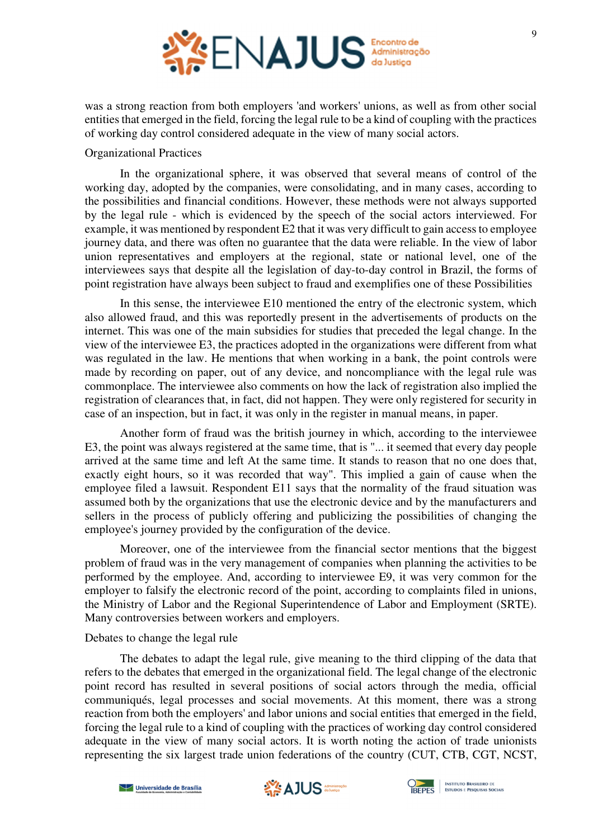

was a strong reaction from both employers 'and workers' unions, as well as from other social entities that emerged in the field, forcing the legal rule to be a kind of coupling with the practices of working day control considered adequate in the view of many social actors.

# Organizational Practices

In the organizational sphere, it was observed that several means of control of the working day, adopted by the companies, were consolidating, and in many cases, according to the possibilities and financial conditions. However, these methods were not always supported by the legal rule - which is evidenced by the speech of the social actors interviewed. For example, it was mentioned by respondent E2 that it was very difficult to gain access to employee journey data, and there was often no guarantee that the data were reliable. In the view of labor union representatives and employers at the regional, state or national level, one of the interviewees says that despite all the legislation of day-to-day control in Brazil, the forms of point registration have always been subject to fraud and exemplifies one of these Possibilities

In this sense, the interviewee E10 mentioned the entry of the electronic system, which also allowed fraud, and this was reportedly present in the advertisements of products on the internet. This was one of the main subsidies for studies that preceded the legal change. In the view of the interviewee E3, the practices adopted in the organizations were different from what was regulated in the law. He mentions that when working in a bank, the point controls were made by recording on paper, out of any device, and noncompliance with the legal rule was commonplace. The interviewee also comments on how the lack of registration also implied the registration of clearances that, in fact, did not happen. They were only registered for security in case of an inspection, but in fact, it was only in the register in manual means, in paper.

Another form of fraud was the british journey in which, according to the interviewee E3, the point was always registered at the same time, that is "... it seemed that every day people arrived at the same time and left At the same time. It stands to reason that no one does that, exactly eight hours, so it was recorded that way". This implied a gain of cause when the employee filed a lawsuit. Respondent E11 says that the normality of the fraud situation was assumed both by the organizations that use the electronic device and by the manufacturers and sellers in the process of publicly offering and publicizing the possibilities of changing the employee's journey provided by the configuration of the device.

Moreover, one of the interviewee from the financial sector mentions that the biggest problem of fraud was in the very management of companies when planning the activities to be performed by the employee. And, according to interviewee E9, it was very common for the employer to falsify the electronic record of the point, according to complaints filed in unions, the Ministry of Labor and the Regional Superintendence of Labor and Employment (SRTE). Many controversies between workers and employers.

## Debates to change the legal rule

The debates to adapt the legal rule, give meaning to the third clipping of the data that refers to the debates that emerged in the organizational field. The legal change of the electronic point record has resulted in several positions of social actors through the media, official communiqués, legal processes and social movements. At this moment, there was a strong reaction from both the employers' and labor unions and social entities that emerged in the field, forcing the legal rule to a kind of coupling with the practices of working day control considered adequate in the view of many social actors. It is worth noting the action of trade unionists representing the six largest trade union federations of the country (CUT, CTB, CGT, NCST,





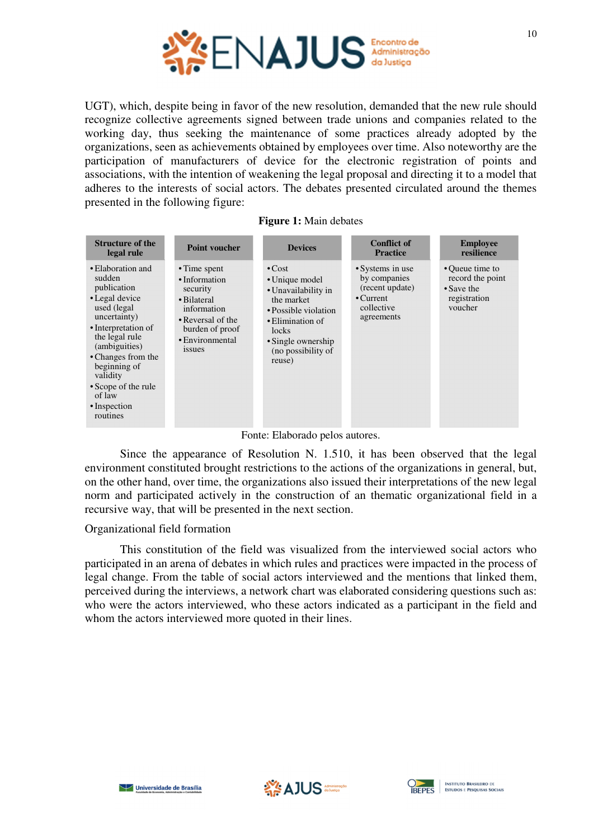

UGT), which, despite being in favor of the new resolution, demanded that the new rule should recognize collective agreements signed between trade unions and companies related to the working day, thus seeking the maintenance of some practices already adopted by the organizations, seen as achievements obtained by employees over time. Also noteworthy are the participation of manufacturers of device for the electronic registration of points and associations, with the intention of weakening the legal proposal and directing it to a model that adheres to the interests of social actors. The debates presented circulated around the themes presented in the following figure:

| <b>Figure 1:</b> Main debates |  |  |  |
|-------------------------------|--|--|--|
|-------------------------------|--|--|--|

| <b>Structure of the</b><br>legal rule                                                                                                                                                                                                                                | <b>Point voucher</b>                                                                                                                                | <b>Devices</b>                                                                                                                                                                 | <b>Conflict of</b><br><b>Practice</b>                                                              | <b>Employee</b><br>resilience                                                |
|----------------------------------------------------------------------------------------------------------------------------------------------------------------------------------------------------------------------------------------------------------------------|-----------------------------------------------------------------------------------------------------------------------------------------------------|--------------------------------------------------------------------------------------------------------------------------------------------------------------------------------|----------------------------------------------------------------------------------------------------|------------------------------------------------------------------------------|
| • Elaboration and<br>sudden<br>publication<br>• Legal device<br>used (legal<br>uncertainty)<br>• Interpretation of<br>the legal rule<br>(ambiguities)<br>• Changes from the<br>beginning of<br>validity<br>• Scope of the rule<br>of law<br>• Inspection<br>routines | • Time spent<br>• Information<br>security<br>• Bilateral<br>information<br>• Reversal of the<br>burden of proof<br>• Environmental<br><i>issues</i> | $\cdot$ Cost<br>• Unique model<br>• Unavailability in<br>the market<br>• Possible violation<br>• Elimination of<br>locks<br>• Single ownership<br>(no possibility of<br>reuse) | • Systems in use<br>by companies<br>(recent update)<br>$\cdot$ Current<br>collective<br>agreements | • Queue time to<br>record the point<br>• Save the<br>registration<br>voucher |

Fonte: Elaborado pelos autores.

Since the appearance of Resolution N. 1.510, it has been observed that the legal environment constituted brought restrictions to the actions of the organizations in general, but, on the other hand, over time, the organizations also issued their interpretations of the new legal norm and participated actively in the construction of an thematic organizational field in a recursive way, that will be presented in the next section.

## Organizational field formation

This constitution of the field was visualized from the interviewed social actors who participated in an arena of debates in which rules and practices were impacted in the process of legal change. From the table of social actors interviewed and the mentions that linked them, perceived during the interviews, a network chart was elaborated considering questions such as: who were the actors interviewed, who these actors indicated as a participant in the field and whom the actors interviewed more quoted in their lines.





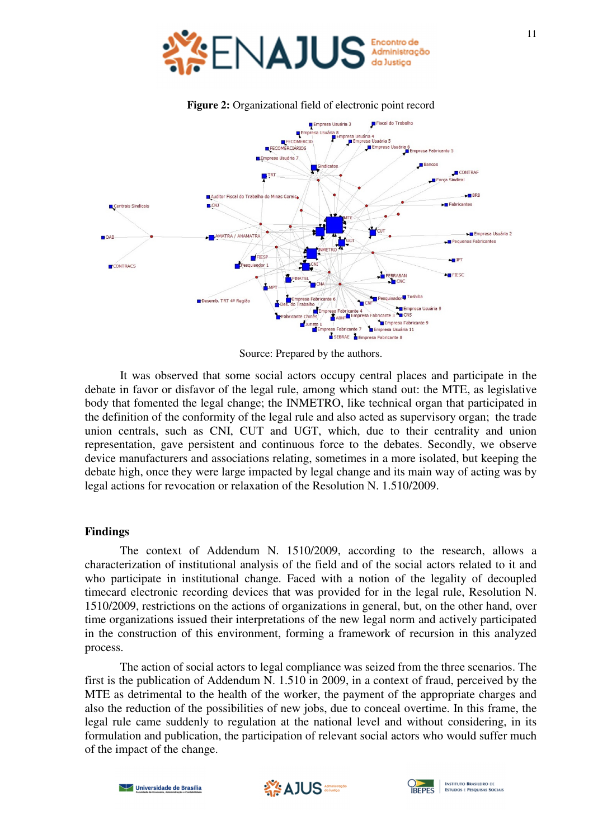



**Figure 2:** Organizational field of electronic point record

Source: Prepared by the authors.

It was observed that some social actors occupy central places and participate in the debate in favor or disfavor of the legal rule, among which stand out: the MTE, as legislative body that fomented the legal change; the INMETRO, like technical organ that participated in the definition of the conformity of the legal rule and also acted as supervisory organ; the trade union centrals, such as CNI, CUT and UGT, which, due to their centrality and union representation, gave persistent and continuous force to the debates. Secondly, we observe device manufacturers and associations relating, sometimes in a more isolated, but keeping the debate high, once they were large impacted by legal change and its main way of acting was by legal actions for revocation or relaxation of the Resolution N. 1.510/2009.

#### **Findings**

The context of Addendum N. 1510/2009, according to the research, allows a characterization of institutional analysis of the field and of the social actors related to it and who participate in institutional change. Faced with a notion of the legality of decoupled timecard electronic recording devices that was provided for in the legal rule, Resolution N. 1510/2009, restrictions on the actions of organizations in general, but, on the other hand, over time organizations issued their interpretations of the new legal norm and actively participated in the construction of this environment, forming a framework of recursion in this analyzed process.

The action of social actors to legal compliance was seized from the three scenarios. The first is the publication of Addendum N. 1.510 in 2009, in a context of fraud, perceived by the MTE as detrimental to the health of the worker, the payment of the appropriate charges and also the reduction of the possibilities of new jobs, due to conceal overtime. In this frame, the legal rule came suddenly to regulation at the national level and without considering, in its formulation and publication, the participation of relevant social actors who would suffer much of the impact of the change.



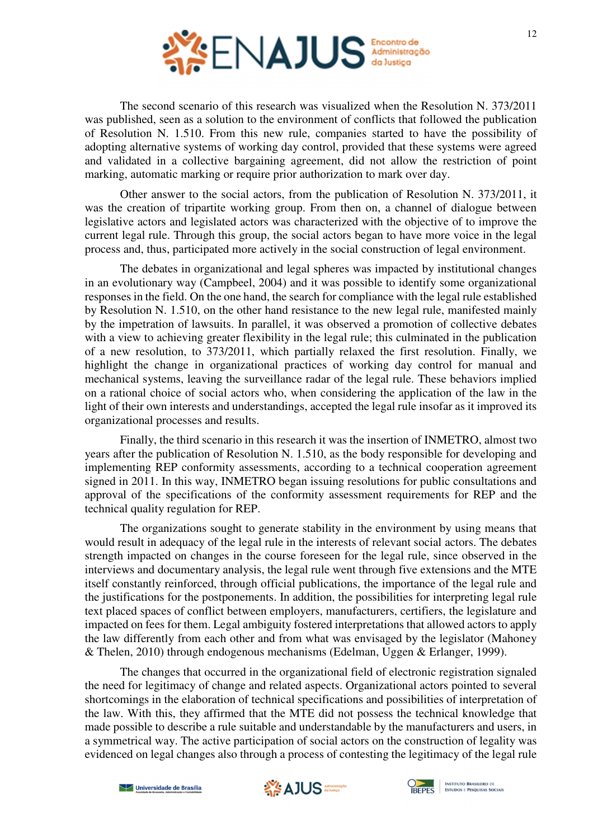

The second scenario of this research was visualized when the Resolution N. 373/2011 was published, seen as a solution to the environment of conflicts that followed the publication of Resolution N. 1.510. From this new rule, companies started to have the possibility of adopting alternative systems of working day control, provided that these systems were agreed and validated in a collective bargaining agreement, did not allow the restriction of point marking, automatic marking or require prior authorization to mark over day.

Other answer to the social actors, from the publication of Resolution N. 373/2011, it was the creation of tripartite working group. From then on, a channel of dialogue between legislative actors and legislated actors was characterized with the objective of to improve the current legal rule. Through this group, the social actors began to have more voice in the legal process and, thus, participated more actively in the social construction of legal environment.

The debates in organizational and legal spheres was impacted by institutional changes in an evolutionary way (Campbeel, 2004) and it was possible to identify some organizational responses in the field. On the one hand, the search for compliance with the legal rule established by Resolution N. 1.510, on the other hand resistance to the new legal rule, manifested mainly by the impetration of lawsuits. In parallel, it was observed a promotion of collective debates with a view to achieving greater flexibility in the legal rule; this culminated in the publication of a new resolution, to 373/2011, which partially relaxed the first resolution. Finally, we highlight the change in organizational practices of working day control for manual and mechanical systems, leaving the surveillance radar of the legal rule. These behaviors implied on a rational choice of social actors who, when considering the application of the law in the light of their own interests and understandings, accepted the legal rule insofar as it improved its organizational processes and results.

Finally, the third scenario in this research it was the insertion of INMETRO, almost two years after the publication of Resolution N. 1.510, as the body responsible for developing and implementing REP conformity assessments, according to a technical cooperation agreement signed in 2011. In this way, INMETRO began issuing resolutions for public consultations and approval of the specifications of the conformity assessment requirements for REP and the technical quality regulation for REP.

The organizations sought to generate stability in the environment by using means that would result in adequacy of the legal rule in the interests of relevant social actors. The debates strength impacted on changes in the course foreseen for the legal rule, since observed in the interviews and documentary analysis, the legal rule went through five extensions and the MTE itself constantly reinforced, through official publications, the importance of the legal rule and the justifications for the postponements. In addition, the possibilities for interpreting legal rule text placed spaces of conflict between employers, manufacturers, certifiers, the legislature and impacted on fees for them. Legal ambiguity fostered interpretations that allowed actors to apply the law differently from each other and from what was envisaged by the legislator (Mahoney & Thelen, 2010) through endogenous mechanisms (Edelman, Uggen & Erlanger, 1999).

The changes that occurred in the organizational field of electronic registration signaled the need for legitimacy of change and related aspects. Organizational actors pointed to several shortcomings in the elaboration of technical specifications and possibilities of interpretation of the law. With this, they affirmed that the MTE did not possess the technical knowledge that made possible to describe a rule suitable and understandable by the manufacturers and users, in a symmetrical way. The active participation of social actors on the construction of legality was evidenced on legal changes also through a process of contesting the legitimacy of the legal rule



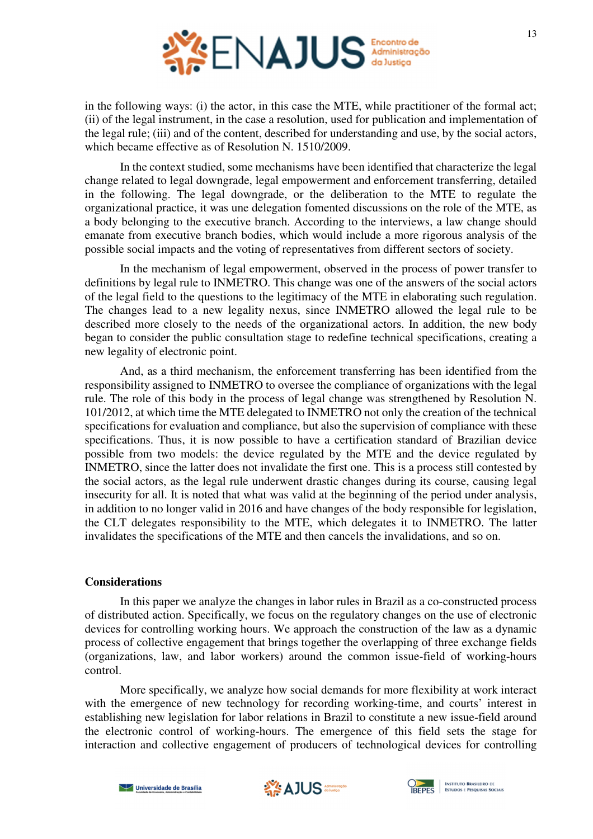

in the following ways: (i) the actor, in this case the MTE, while practitioner of the formal act; (ii) of the legal instrument, in the case a resolution, used for publication and implementation of the legal rule; (iii) and of the content, described for understanding and use, by the social actors, which became effective as of Resolution N. 1510/2009.

In the context studied, some mechanisms have been identified that characterize the legal change related to legal downgrade, legal empowerment and enforcement transferring, detailed in the following. The legal downgrade, or the deliberation to the MTE to regulate the organizational practice, it was une delegation fomented discussions on the role of the MTE, as a body belonging to the executive branch. According to the interviews, a law change should emanate from executive branch bodies, which would include a more rigorous analysis of the possible social impacts and the voting of representatives from different sectors of society.

In the mechanism of legal empowerment, observed in the process of power transfer to definitions by legal rule to INMETRO. This change was one of the answers of the social actors of the legal field to the questions to the legitimacy of the MTE in elaborating such regulation. The changes lead to a new legality nexus, since INMETRO allowed the legal rule to be described more closely to the needs of the organizational actors. In addition, the new body began to consider the public consultation stage to redefine technical specifications, creating a new legality of electronic point.

And, as a third mechanism, the enforcement transferring has been identified from the responsibility assigned to INMETRO to oversee the compliance of organizations with the legal rule. The role of this body in the process of legal change was strengthened by Resolution N. 101/2012, at which time the MTE delegated to INMETRO not only the creation of the technical specifications for evaluation and compliance, but also the supervision of compliance with these specifications. Thus, it is now possible to have a certification standard of Brazilian device possible from two models: the device regulated by the MTE and the device regulated by INMETRO, since the latter does not invalidate the first one. This is a process still contested by the social actors, as the legal rule underwent drastic changes during its course, causing legal insecurity for all. It is noted that what was valid at the beginning of the period under analysis, in addition to no longer valid in 2016 and have changes of the body responsible for legislation, the CLT delegates responsibility to the MTE, which delegates it to INMETRO. The latter invalidates the specifications of the MTE and then cancels the invalidations, and so on.

#### **Considerations**

In this paper we analyze the changes in labor rules in Brazil as a co-constructed process of distributed action. Specifically, we focus on the regulatory changes on the use of electronic devices for controlling working hours. We approach the construction of the law as a dynamic process of collective engagement that brings together the overlapping of three exchange fields (organizations, law, and labor workers) around the common issue-field of working-hours control.

More specifically, we analyze how social demands for more flexibility at work interact with the emergence of new technology for recording working-time, and courts' interest in establishing new legislation for labor relations in Brazil to constitute a new issue-field around the electronic control of working-hours. The emergence of this field sets the stage for interaction and collective engagement of producers of technological devices for controlling





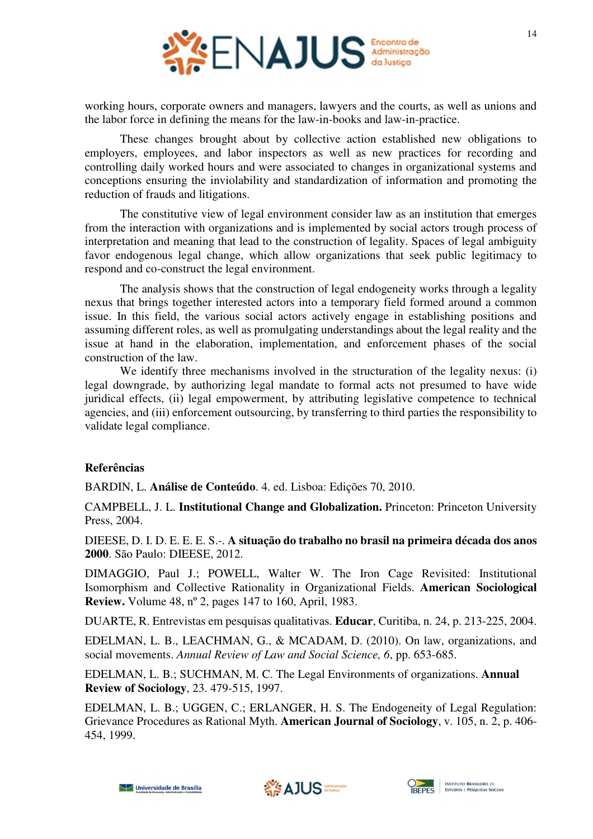

working hours, corporate owners and managers, lawyers and the courts, as well as unions and the labor force in defining the means for the law-in-books and law-in-practice.

These changes brought about by collective action established new obligations to employers, employees, and labor inspectors as well as new practices for recording and controlling daily worked hours and were associated to changes in organizational systems and conceptions ensuring the inviolability and standardization of information and promoting the reduction of frauds and litigations.

The constitutive view of legal environment consider law as an institution that emerges from the interaction with organizations and is implemented by social actors trough process of interpretation and meaning that lead to the construction of legality. Spaces of legal ambiguity favor endogenous legal change, which allow organizations that seek public legitimacy to respond and co-construct the legal environment.

The analysis shows that the construction of legal endogeneity works through a legality nexus that brings together interested actors into a temporary field formed around a common issue. In this field, the various social actors actively engage in establishing positions and assuming different roles, as well as promulgating understandings about the legal reality and the issue at hand in the elaboration, implementation, and enforcement phases of the social construction of the law.

We identify three mechanisms involved in the structuration of the legality nexus: (i) legal downgrade, by authorizing legal mandate to formal acts not presumed to have wide juridical effects, (ii) legal empowerment, by attributing legislative competence to technical agencies, and (iii) enforcement outsourcing, by transferring to third parties the responsibility to validate legal compliance.

## **Referências**

BARDIN, L. **Análise de Conteúdo**. 4. ed. Lisboa: Edições 70, 2010.

CAMPBELL, J. L. **Institutional Change and Globalization.** Princeton: Princeton University Press, 2004.

DIEESE, D. I. D. E. E. E. S.-. **A situação do trabalho no brasil na primeira década dos anos 2000**. São Paulo: DIEESE, 2012.

DIMAGGIO, Paul J.; POWELL, Walter W. The Iron Cage Revisited: Institutional Isomorphism and Collective Rationality in Organizational Fields. **American Sociological Review.** Volume 48, nº 2, pages 147 to 160, April, 1983.

DUARTE, R. Entrevistas em pesquisas qualitativas. **Educar**, Curitiba, n. 24, p. 213-225, 2004.

EDELMAN, L. B., LEACHMAN, G., & MCADAM, D. (2010). On law, organizations, and social movements. *Annual Review of Law and Social Science, 6*, pp. 653-685.

EDELMAN, L. B.; SUCHMAN, M. C. The Legal Environments of organizations. **Annual Review of Sociology**, 23. 479-515, 1997.

EDELMAN, L. B.; UGGEN, C.; ERLANGER, H. S. The Endogeneity of Legal Regulation: Grievance Procedures as Rational Myth. **American Journal of Sociology**, v. 105, n. 2, p. 406- 454, 1999.